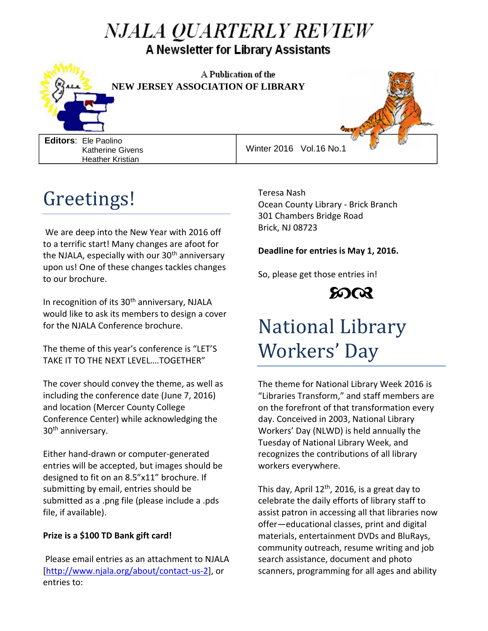### *NJALA QUARTERLY REVIEW* A Newsletter for Library Assistants



A Publication of the **NEW JERSEY ASSOCIATION OF LIBRARY** 

**Editors**: Ele Paolino Katherine Givens Heather Kristian

Winter 2016 Vol.16 No.1

### Greetings!

We are deep into the New Year with 2016 off to a terrific start! Many changes are afoot for the NJALA, especially with our  $30<sup>th</sup>$  anniversary upon us! One of these changes tackles changes to our brochure.

In recognition of its 30<sup>th</sup> anniversary, NJALA would like to ask its members to design a cover for the NJALA Conference brochure.

The theme of this year's conference is "LET'S TAKE IT TO THE NEXT LEVEL….TOGETHER"

The cover should convey the theme, as well as including the conference date (June 7, 2016) and location (Mercer County College Conference Center) while acknowledging the 30th anniversary.

Either hand-drawn or computer-generated entries will be accepted, but images should be designed to fit on an 8.5"x11" brochure. If submitting by email, entries should be submitted as a .png file (please include a .pds file, if available).

#### **Prize is a \$100 TD Bank gift card!**

Please email entries as an attachment to NJALA [\[http://www.njala.org/about/contact-us-2\]](http://www.njala.org/about/contact-us-2), or entries to:

Teresa Nash Ocean County Library - Brick Branch 301 Chambers Bridge Road Brick, NJ 08723

#### **Deadline for entries is May 1, 2016.**

So, please get those entries in!



## National Library Workers' Day

The theme for National Library Week 2016 is "Libraries Transform," and staff members are on the forefront of that transformation every day. Conceived in 2003, National Library Workers' Day (NLWD) is held annually the Tuesday of National Library Week, and recognizes the contributions of all library workers everywhere.

This day, April  $12<sup>th</sup>$ , 2016, is a great day to celebrate the daily efforts of library staff to assist patron in accessing all that libraries now offer—educational classes, print and digital materials, entertainment DVDs and BluRays, community outreach, resume writing and job search assistance, document and photo scanners, programming for all ages and ability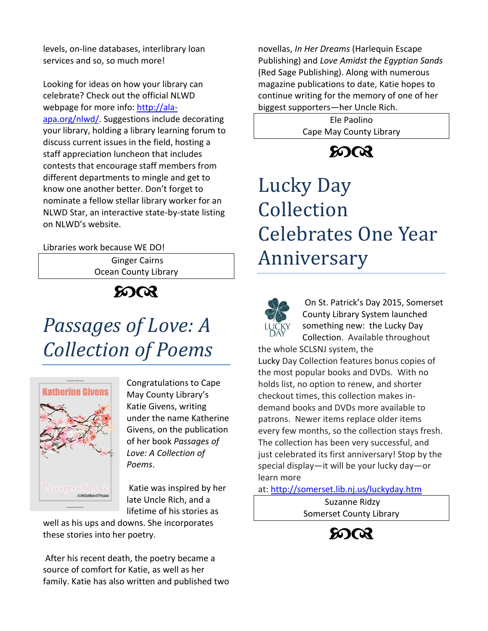levels, on-line databases, interlibrary loan services and so, so much more!

Looking for ideas on how your library can celebrate? Check out the official NLWD webpage for more info: [http://ala](http://ala-apa.org/nlwd/)[apa.org/nlwd/.](http://ala-apa.org/nlwd/) Suggestions include decorating your library, holding a library learning forum to discuss current issues in the field, hosting a staff appreciation luncheon that includes contests that encourage staff members from different departments to mingle and get to know one another better. Don't forget to nominate a fellow stellar library worker for an NLWD Star, an interactive state-by-state listing on NLWD's website.

Libraries work because WE DO!

Ginger Cairns Ocean County Library

**8008** 

# *Passages of Love: A Collection of Poems*



Congratulations to Cape May County Library's Katie Givens, writing under the name Katherine Givens, on the publication of her book *Passages of Love: A Collection of Poems*.

Katie was inspired by her late Uncle Rich, and a lifetime of his stories as

well as his ups and downs. She incorporates these stories into her poetry.

After his recent death, the poetry became a source of comfort for Katie, as well as her family. Katie has also written and published two novellas, *In Her Dreams* (Harlequin Escape Publishing) and *Love Amidst the Egyptian Sands*  (Red Sage Publishing). Along with numerous magazine publications to date, Katie hopes to continue writing for the memory of one of her biggest supporters—her Uncle Rich.

> Ele Paolino Cape May County Library

> > $5003$

# Lucky Day Collection Celebrates One Year Anniversary



On St. Patrick's Day 2015, Somerset County Library System launched something new: the Lucky Day Collection. Available throughout

the whole SCLSNJ system, the Lucky Day Collection features bonus copies of the most popular books and DVDs. With no holds list, no option to renew, and shorter checkout times, this collection makes indemand books and DVDs more available to patrons. Newer items replace older items every few months, so the collection stays fresh. The collection has been very successful, and just celebrated its first anniversary! Stop by the special display—it will be your lucky day—or learn more

at: <http://somerset.lib.nj.us/luckyday.htm>

Suzanne Ridzy Somerset County Library

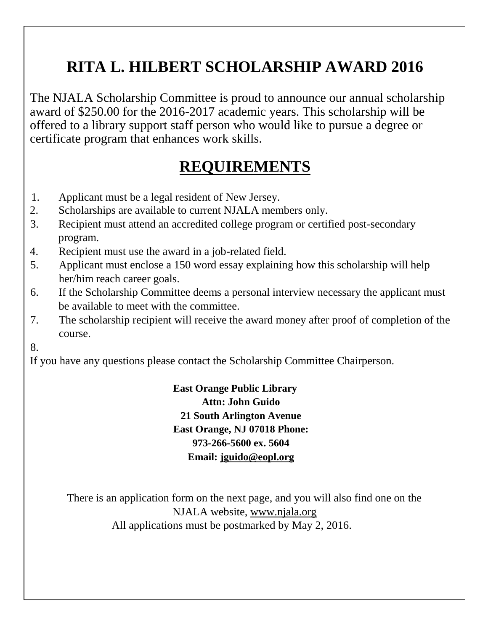### **RITA L. HILBERT SCHOLARSHIP AWARD 2016**

The NJALA Scholarship Committee is proud to announce our annual scholarship award of \$250.00 for the 2016-2017 academic years. This scholarship will be offered to a library support staff person who would like to pursue a degree or certificate program that enhances work skills.

### **REQUIREMENTS**

- 1. Applicant must be a legal resident of New Jersey.
- 2. Scholarships are available to current NJALA members only.
- 3. Recipient must attend an accredited college program or certified post-secondary program.
- 4. Recipient must use the award in a job-related field.
- 5. Applicant must enclose a 150 word essay explaining how this scholarship will help her/him reach career goals.
- 6. If the Scholarship Committee deems a personal interview necessary the applicant must be available to meet with the committee.
- 7. The scholarship recipient will receive the award money after proof of completion of the course.
- 8.

If you have any questions please contact the Scholarship Committee Chairperson.

**East Orange Public Library Attn: John Guido 21 South Arlington Avenue East Orange, NJ 07018 Phone: 973-266-5600 ex. 5604 Email: [jguido@eopl.org](mailto:jguido@eopl.org)**

There is an application form on the next page, and you will also find one on the NJALA website, [www.njala.org](http://www.njala.org/) All applications must be postmarked by May 2, 2016.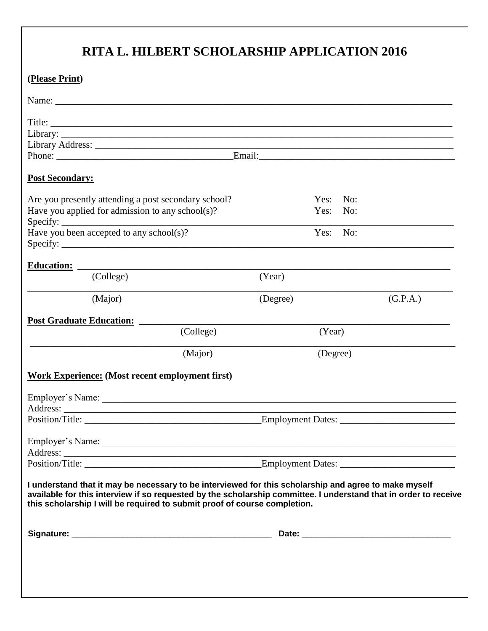#### **RITA L. HILBERT SCHOLARSHIP APPLICATION 2016**

| <b>Post Secondary:</b>                                                                                                                                                                                                                                                                                 |                   |          |  |
|--------------------------------------------------------------------------------------------------------------------------------------------------------------------------------------------------------------------------------------------------------------------------------------------------------|-------------------|----------|--|
| Are you presently attending a post secondary school?                                                                                                                                                                                                                                                   | Yes:<br>No:       |          |  |
| Have you applied for admission to any school(s)?                                                                                                                                                                                                                                                       | Yes:<br>No:       |          |  |
|                                                                                                                                                                                                                                                                                                        | Yes:<br>No:       |          |  |
| Have you been accepted to any school(s)?                                                                                                                                                                                                                                                               |                   |          |  |
| <b>Education:</b>                                                                                                                                                                                                                                                                                      |                   |          |  |
| (College)                                                                                                                                                                                                                                                                                              | (Year)            |          |  |
| (Major)                                                                                                                                                                                                                                                                                                | (Degree)          | (G.P.A.) |  |
|                                                                                                                                                                                                                                                                                                        |                   |          |  |
| <b>Post Graduate Education:</b>                                                                                                                                                                                                                                                                        |                   |          |  |
| (College)                                                                                                                                                                                                                                                                                              | (Year)            |          |  |
| (Major)                                                                                                                                                                                                                                                                                                | (Degree)          |          |  |
| <b>Work Experience: (Most recent employment first)</b>                                                                                                                                                                                                                                                 |                   |          |  |
|                                                                                                                                                                                                                                                                                                        |                   |          |  |
| Employer's Name:                                                                                                                                                                                                                                                                                       |                   |          |  |
| Position/Title:                                                                                                                                                                                                                                                                                        | Employment Dates: |          |  |
|                                                                                                                                                                                                                                                                                                        |                   |          |  |
|                                                                                                                                                                                                                                                                                                        |                   |          |  |
|                                                                                                                                                                                                                                                                                                        |                   |          |  |
|                                                                                                                                                                                                                                                                                                        |                   |          |  |
| I understand that it may be necessary to be interviewed for this scholarship and agree to make myself<br>available for this interview if so requested by the scholarship committee. I understand that in order to receive<br>this scholarship I will be required to submit proof of course completion. |                   |          |  |
|                                                                                                                                                                                                                                                                                                        |                   |          |  |
|                                                                                                                                                                                                                                                                                                        |                   |          |  |
|                                                                                                                                                                                                                                                                                                        |                   |          |  |